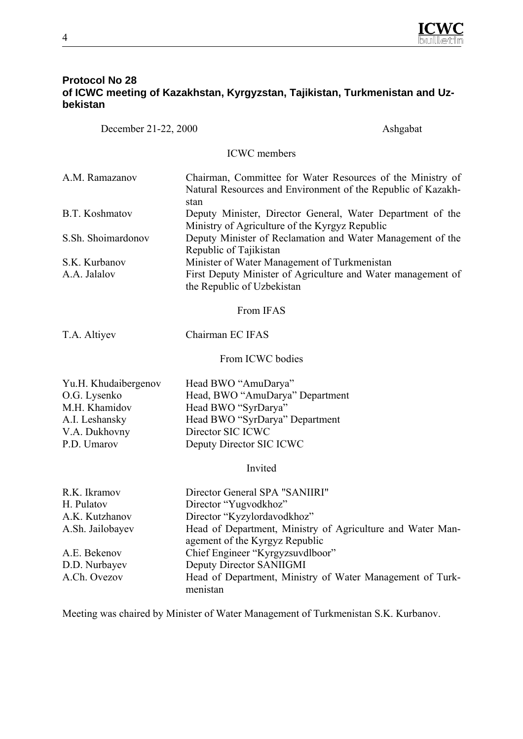

# **Protocol No 28 of ICWC meeting of Kazakhstan, Kyrgyzstan, Tajikistan, Turkmenistan and Uzbekistan**

December 21-22, 2000 Ashgabat

ICWC members

| A.M. Ramazanov     | Chairman, Committee for Water Resources of the Ministry of   |
|--------------------|--------------------------------------------------------------|
|                    | Natural Resources and Environment of the Republic of Kazakh- |
|                    | stan                                                         |
| B.T. Koshmatov     | Deputy Minister, Director General, Water Department of the   |
|                    | Ministry of Agriculture of the Kyrgyz Republic               |
| S.Sh. Shoimardonov | Deputy Minister of Reclamation and Water Management of the   |
|                    | Republic of Tajikistan                                       |
| S.K. Kurbanov      | Minister of Water Management of Turkmenistan                 |
| A.A. Jalalov       | First Deputy Minister of Agriculture and Water management of |
|                    | the Republic of Uzbekistan                                   |

From IFAS

T.A. Altiyev Chairman EC IFAS

From ICWC bodies

| Yu.H. Khudaibergenov | Head BWO "AmuDarya"             |
|----------------------|---------------------------------|
| O.G. Lysenko         | Head, BWO "AmuDarya" Department |
| M.H. Khamidov        | Head BWO "SyrDarya"             |
| A.I. Leshansky       | Head BWO "SyrDarya" Department  |
| V.A. Dukhovny        | Director SIC ICWC               |
| P.D. Umarov          | Deputy Director SIC ICWC        |

Invited

| R.K. Ikramov     | Director General SPA "SANIIRI"                             |
|------------------|------------------------------------------------------------|
| H. Pulatov       | Director "Yugvodkhoz"                                      |
| A.K. Kutzhanov   | Director "Kyzylordavodkhoz"                                |
| A.Sh. Jailobayev | Head of Department, Ministry of Agriculture and Water Man- |
|                  | agement of the Kyrgyz Republic                             |
| A.E. Bekenov     | Chief Engineer "Kyrgyzsuvdlboor"                           |
| D.D. Nurbayev    | Deputy Director SANIIGMI                                   |
| A.Ch. Ovezov     | Head of Department, Ministry of Water Management of Turk-  |
|                  | menistan                                                   |

Meeting was chaired by Minister of Water Management of Turkmenistan S.K. Kurbanov.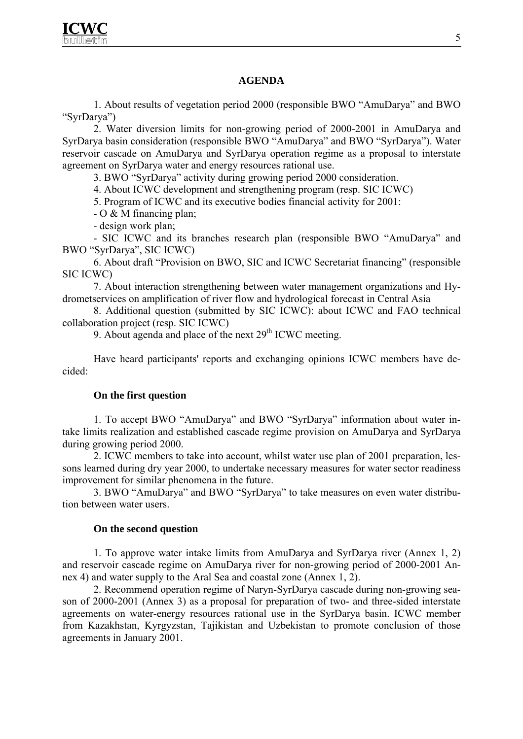## **AGENDA**

1. About results of vegetation period 2000 (responsible BWO "AmuDarya" and BWO "SyrDarya")

2. Water diversion limits for non-growing period of 2000-2001 in AmuDarya and SyrDarya basin consideration (responsible BWO "AmuDarya" and BWO "SyrDarya"). Water reservoir cascade on AmuDarya and SyrDarya operation regime as a proposal to interstate agreement on SyrDarya water and energy resources rational use.

3. BWO "SyrDarya" activity during growing period 2000 consideration.

4. About ICWC development and strengthening program (resp. SIC ICWC)

5. Program of ICWC and its executive bodies financial activity for 2001:

- O & M financing plan;

- design work plan;

- SIC ICWC and its branches research plan (responsible BWO "AmuDarya" and BWO "SyrDarya", SIC ICWC)

6. About draft "Provision on BWO, SIC and ICWC Secretariat financing" (responsible SIC ICWC)

7. About interaction strengthening between water management organizations and Hydrometservices on amplification of river flow and hydrological forecast in Central Asia

8. Additional question (submitted by SIC ICWC): about ICWC and FAO technical collaboration project (resp. SIC ICWC)

9. About agenda and place of the next  $29<sup>th</sup>$  ICWC meeting.

Have heard participants' reports and exchanging opinions ICWC members have decided:

### **On the first question**

1. To accept BWO "AmuDarya" and BWO "SyrDarya" information about water intake limits realization and established cascade regime provision on AmuDarya and SyrDarya during growing period 2000.

2. ICWC members to take into account, whilst water use plan of 2001 preparation, lessons learned during dry year 2000, to undertake necessary measures for water sector readiness improvement for similar phenomena in the future.

3. BWO "AmuDarya" and BWO "SyrDarya" to take measures on even water distribution between water users.

### **On the second question**

1. To approve water intake limits from AmuDarya and SyrDarya river (Annex 1, 2) and reservoir cascade regime on AmuDarya river for non-growing period of 2000-2001 Annex 4) and water supply to the Aral Sea and coastal zone (Annex 1, 2).

2. Recommend operation regime of Naryn-SyrDarya cascade during non-growing season of 2000-2001 (Annex 3) as a proposal for preparation of two- and three-sided interstate agreements on water-energy resources rational use in the SyrDarya basin. ICWC member from Kazakhstan, Kyrgyzstan, Tajikistan and Uzbekistan to promote conclusion of those agreements in January 2001.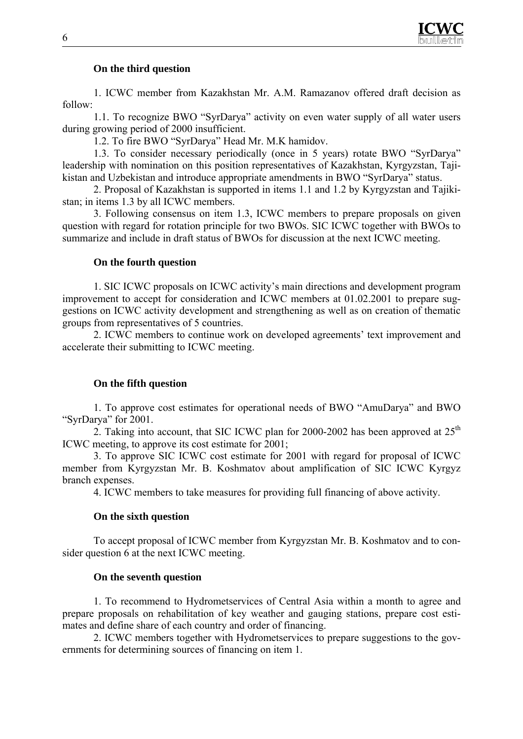

### **On the third question**

1. ICWC member from Kazakhstan Mr. A.M. Ramazanov offered draft decision as follow:

1.1. To recognize BWO "SyrDarya" activity on even water supply of all water users during growing period of 2000 insufficient.

1.2. To fire BWO "SyrDarya" Head Mr. M.K hamidov.

1.3. To consider necessary periodically (once in 5 years) rotate BWO "SyrDarya" leadership with nomination on this position representatives of Kazakhstan, Kyrgyzstan, Tajikistan and Uzbekistan and introduce appropriate amendments in BWO "SyrDarya" status.

2. Proposal of Kazakhstan is supported in items 1.1 and 1.2 by Kyrgyzstan and Tajikistan; in items 1.3 by all ICWC members.

3. Following consensus on item 1.3, ICWC members to prepare proposals on given question with regard for rotation principle for two BWOs. SIC ICWC together with BWOs to summarize and include in draft status of BWOs for discussion at the next ICWC meeting.

### **On the fourth question**

1. SIC ICWC proposals on ICWC activity's main directions and development program improvement to accept for consideration and ICWC members at 01.02.2001 to prepare suggestions on ICWC activity development and strengthening as well as on creation of thematic groups from representatives of 5 countries.

2. ICWC members to continue work on developed agreements' text improvement and accelerate their submitting to ICWC meeting.

## **On the fifth question**

1. To approve cost estimates for operational needs of BWO "AmuDarya" and BWO "SyrDarya" for 2001.

2. Taking into account, that SIC ICWC plan for 2000-2002 has been approved at  $25<sup>th</sup>$ ICWC meeting, to approve its cost estimate for 2001;

3. To approve SIC ICWC cost estimate for 2001 with regard for proposal of ICWC member from Kyrgyzstan Mr. B. Koshmatov about amplification of SIC ICWC Kyrgyz branch expenses.

4. ICWC members to take measures for providing full financing of above activity.

### **On the sixth question**

To accept proposal of ICWC member from Kyrgyzstan Mr. B. Koshmatov and to consider question 6 at the next ICWC meeting.

### **On the seventh question**

1. To recommend to Hydrometservices of Central Asia within a month to agree and prepare proposals on rehabilitation of key weather and gauging stations, prepare cost estimates and define share of each country and order of financing.

2. ICWC members together with Hydrometservices to prepare suggestions to the governments for determining sources of financing on item 1.